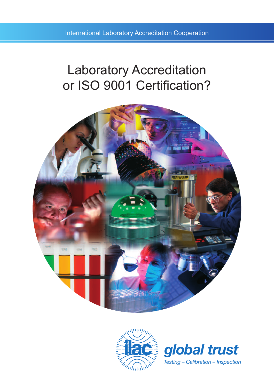International Laboratory Accreditation Cooperation

# Laboratory Accreditation or ISO 9001 Certification?





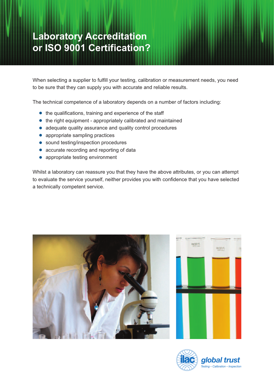# **Laboratory Accreditation or ISO 9001 Certification?**

When selecting a supplier to fulfill your testing, calibration or measurement needs, you need to be sure that they can supply you with accurate and reliable results.

The technical competence of a laboratory depends on a number of factors including:

- the qualifications, training and experience of the staff
- the right equipment appropriately calibrated and maintained
- adequate quality assurance and quality control procedures
- appropriate sampling practices
- sound testing/inspection procedures
- accurate recording and reporting of data
- appropriate testing environment

Whilst a laboratory can reassure you that they have the above attributes, or you can attempt to evaluate the service yourself, neither provides you with confidence that you have selected a technically competent service.





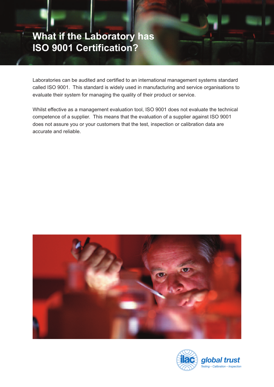# **What if the Laboratory has ISO 9001 Certification?**

Laboratories can be audited and certified to an international management systems standard called ISO 9001. This standard is widely used in manufacturing and service organisations to evaluate their system for managing the quality of their product or service.

Whilst effective as a management evaluation tool, ISO 9001 does not evaluate the technical competence of a supplier. This means that the evaluation of a supplier against ISO 9001 does not assure you or your customers that the test, inspection or calibration data are accurate and reliable.



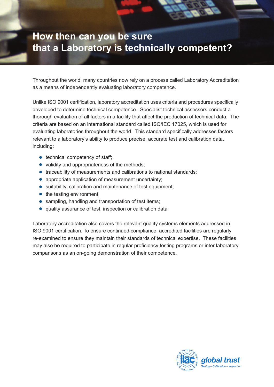## **How then can you be sure that a Laboratory is technically competent?**

Throughout the world, many countries now rely on a process called Laboratory Accreditation as a means of independently evaluating laboratory competence.

Unlike ISO 9001 certification, laboratory accreditation uses criteria and procedures specifically developed to determine technical competence. Specialist technical assessors conduct a thorough evaluation of all factors in a facility that affect the production of technical data. The criteria are based on an international standard called ISO/IEC 17025, which is used for evaluating laboratories throughout the world. This standard specifically addresses factors relevant to a laboratory's ability to produce precise, accurate test and calibration data, including:

- $\bullet$  technical competency of staff;
- validity and appropriateness of the methods;
- traceability of measurements and calibrations to national standards;
- appropriate application of measurement uncertainty;
- suitability, calibration and maintenance of test equipment;
- the testing environment:
- sampling, handling and transportation of test items;
- quality assurance of test, inspection or calibration data.

Laboratory accreditation also covers the relevant quality systems elements addressed in ISO 9001 certification. To ensure continued compliance, accredited facilities are regularly re-examined to ensure they maintain their standards of technical expertise. These facilities may also be required to participate in regular proficiency testing programs or inter laboratory comparisons as an on-going demonstration of their competence.

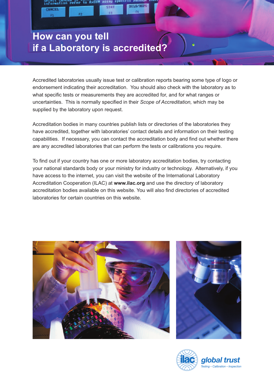#### **How can you tell if a Laboratory is accredited?**

Accredited laboratories usually issue test or calibration reports bearing some type of logo or endorsement indicating their accreditation. You should also check with the laboratory as to what specific tests or measurements they are accredited for, and for what ranges or uncertainties. This is normally specified in their *Scope of Accreditation,* which may be supplied by the laboratory upon request.

Accreditation bodies in many countries publish lists or directories of the laboratories they have accredited, together with laboratories' contact details and information on their testing capabilities. If necessary, you can contact the accreditation body and find out whether there are any accredited laboratories that can perform the tests or calibrations you require.

To find out if your country has one or more laboratory accreditation bodies, try contacting your national standards body or your ministry for industry or technology. Alternatively, if you have access to the internet, you can visit the website of the International Laboratory Accreditation Cooperation (ILAC) at **www.ilac.org** and use the directory of laboratory accreditation bodies available on this website. You will also find directories of accredited laboratories for certain countries on this website.





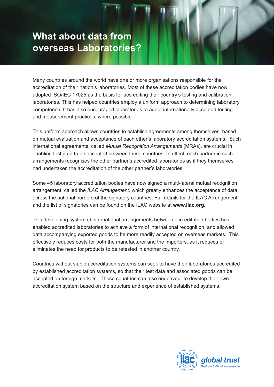#### **What about data from overseas Laboratories?**

Many countries around the world have one or more organisations responsible for the accreditation of their nation's laboratories. Most of these accreditation bodies have now adopted ISO/IEC 17025 as the basis for accrediting their country's testing and calibration laboratories. This has helped countries employ a uniform approach to determining laboratory competence. It has also encouraged laboratories to adopt internationally accepted testing and measurement practices, where possible.

This uniform approach allows countries to establish agreements among themselves, based on mutual evaluation and acceptance of each other's laboratory accreditation systems. Such international agreements, called *Mutual Recognition Arrangements* (MRAs), are crucial in enabling test data to be accepted between these countries. In effect, each partner in such arrangements recognises the other partner's accredited laboratories as if they themselves had undertaken the accreditation of the other partner's laboratories.

Some 45 laboratory accreditation bodies have now signed a multi-lateral mutual recognition arrangement, called the *ILAC Arrangement,* which greatly enhances the acceptance of data across the national borders of the signatory countries. Full details for the ILAC Arrangement and the list of signatories can be found on the ILAC website at **www.ilac.org.**

This developing system of international arrangements between accreditation bodies has enabled accredited laboratories to achieve a form of international recognition, and allowed data accompanying exported goods to be more readily accepted on overseas markets. This effectively reduces costs for both the manufacturer and the importers, as it reduces or eliminates the need for products to be retested in another country.

Countries without viable accreditation systems can seek to have their laboratories accredited by established accreditation systems, so that their test data and associated goods can be accepted on foreign markets. These countries can also endeavour to develop their own accreditation system based on the structure and experience of established systems.

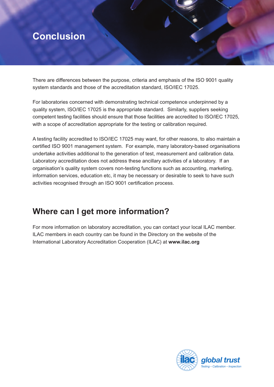### **Conclusion**

There are differences between the purpose, criteria and emphasis of the ISO 9001 quality system standards and those of the accreditation standard, ISO/IEC 17025.

For laboratories concerned with demonstrating technical competence underpinned by a quality system, ISO/IEC 17025 is the appropriate standard. Similarly, suppliers seeking competent testing facilities should ensure that those facilities are accredited to ISO/IEC 17025, with a scope of accreditation appropriate for the testing or calibration required.

A testing facility accredited to ISO/IEC 17025 may want, for other reasons, to also maintain a certified ISO 9001 management system. For example, many laboratory-based organisations undertake activities additional to the generation of test, measurement and calibration data. Laboratory accreditation does not address these ancillary activities of a laboratory. If an organisation's quality system covers non-testing functions such as accounting, marketing, information services, education etc, it may be necessary or desirable to seek to have such activities recognised through an ISO 9001 certification process.

#### **Where can I get more information?**

For more information on laboratory accreditation, you can contact your local ILAC member. ILAC members in each country can be found in the Directory on the website of the International Laboratory Accreditation Cooperation (ILAC) at **www.ilac.org**